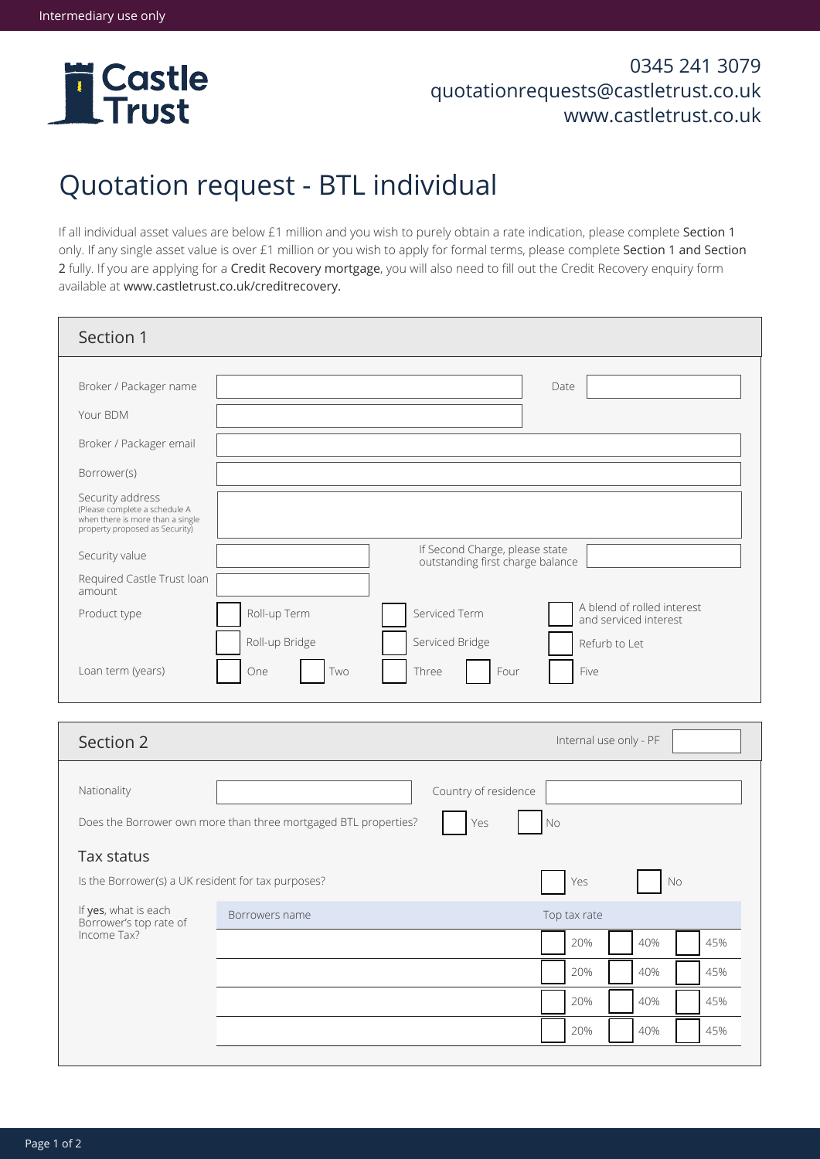

## 0345 241 3079 quotationrequests@castletrust.co.uk www.castletrust.co.uk

20% 40% 45%

20% 40% 45%

20% 40% 45%

## Quotation request - BTL individual

If all individual asset values are below £1 million and you wish to purely obtain a rate indication, please complete Section 1 only. If any single asset value is over £1 million or you wish to apply for formal terms, please complete Section 1 and Section 2 fully. If you are applying for a Credit Recovery mortgage, you will also need to fill out the Credit Recovery enquiry form available at www.castletrust.co.uk/creditrecovery.

| Section 1                                                                                                                              |                                                                    |                                  |                                                     |  |  |
|----------------------------------------------------------------------------------------------------------------------------------------|--------------------------------------------------------------------|----------------------------------|-----------------------------------------------------|--|--|
| Broker / Packager name<br>Your BDM                                                                                                     |                                                                    |                                  | Date                                                |  |  |
| Broker / Packager email                                                                                                                |                                                                    |                                  |                                                     |  |  |
| Borrower(s)<br>Security address<br>(Please complete a schedule A<br>when there is more than a single<br>property proposed as Security) |                                                                    |                                  |                                                     |  |  |
| Security value                                                                                                                         | If Second Charge, please state<br>outstanding first charge balance |                                  |                                                     |  |  |
| Required Castle Trust Ioan<br>amount                                                                                                   |                                                                    |                                  |                                                     |  |  |
| Product type                                                                                                                           | Roll-up Term                                                       | Serviced Term                    | A blend of rolled interest<br>and serviced interest |  |  |
| Loan term (years)                                                                                                                      | Roll-up Bridge<br>One<br>Two                                       | Serviced Bridge<br>Three<br>Four | Refurb to Let<br>Five                               |  |  |
|                                                                                                                                        |                                                                    |                                  |                                                     |  |  |
| Section 2                                                                                                                              |                                                                    |                                  | Internal use only - PF                              |  |  |
| Nationality                                                                                                                            |                                                                    | Country of residence             |                                                     |  |  |
| Does the Borrower own more than three mortgaged BTL properties?<br>Yes<br>No                                                           |                                                                    |                                  |                                                     |  |  |
| Tax status                                                                                                                             |                                                                    |                                  |                                                     |  |  |
| Is the Borrower(s) a UK resident for tax purposes?<br>Yes<br><b>No</b>                                                                 |                                                                    |                                  |                                                     |  |  |
| If yes, what is each<br>Borrower's top rate of<br>Income Tax?                                                                          | Borrowers name                                                     |                                  | Top tax rate                                        |  |  |
|                                                                                                                                        |                                                                    |                                  | 20%<br>40%<br>45%                                   |  |  |